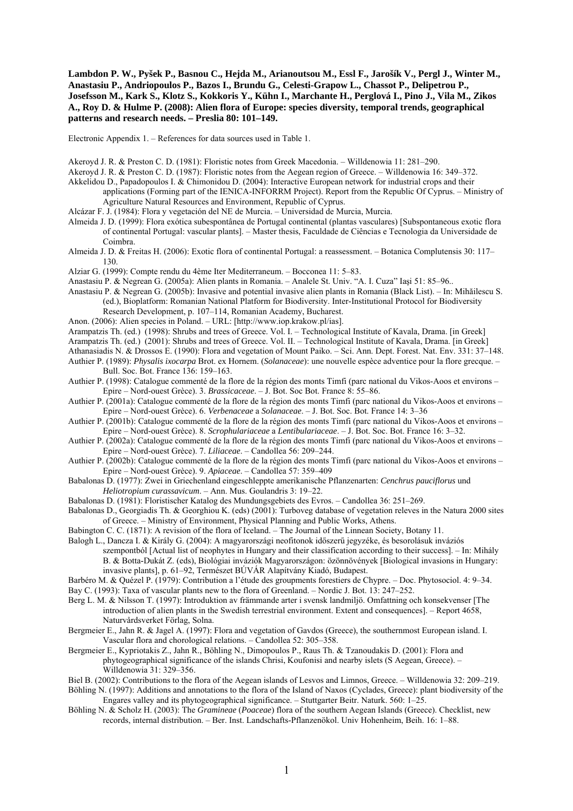**Lambdon P. W., Pyšek P., Basnou C., Hejda M., Arianoutsou M., Essl F., Jarošík V., Pergl J., Winter M., Anastasiu P., Andriopoulos P., Bazos I., Brundu G., Celesti-Grapow L., Chassot P., Delipetrou P., Josefsson M., Kark S., Klotz S., Kokkoris Y., Kühn I., Marchante H., Perglová I., Pino J., Vila M., Zikos A., Roy D. & Hulme P. (2008): Alien flora of Europe: species diversity, temporal trends, geographical patterns and research needs. – Preslia 80: 101–149.** 

Electronic Appendix 1. – References for data sources used in Table 1.

- Akeroyd J. R. & Preston C. D. (1981): Floristic notes from Greek Macedonia. Willdenowia 11: 281–290.
- Akeroyd J. R. & Preston C. D. (1987): Floristic notes from the Aegean region of Greece. Willdenowia 16: 349–372.
- Akkelidou D., Papadopoulos I. & Chimonidou D. (2004): Interactive European network for industrial crops and their applications (Forming part of the IENICA-INFORRM Project). Report from the Republic Of Cyprus. – Ministry of Agriculture Natural Resources and Environment, Republic of Cyprus.
- Alcázar F. J. (1984): Flora y vegetación del NE de Murcia. Universidad de Murcia, Murcia.
- Almeida J. D. (1999): Flora exótica subespontânea de Portugal continental (plantas vasculares) [Subspontaneous exotic flora of continental Portugal: vascular plants]. – Master thesis, Faculdade de Ciências e Tecnologia da Universidade de Coimbra.
- Almeida J. D. & Freitas H. (2006): Exotic flora of continental Portugal: a reassessment. Botanica Complutensis 30: 117– 130.
- Alziar G. (1999): Compte rendu du 4ème Iter Mediterraneum. Bocconea 11: 5–83.
- Anastasiu P. & Negrean G. (2005a): Alien plants in Romania. Analele St. Univ. "A. I. Cuza" Iaşi 51: 85–96..
- Anastasiu P. & Negrean G. (2005b): Invasive and potential invasive alien plants in Romania (Black List). In: Mihăilescu S. (ed.), Bioplatform: Romanian National Platform for Biodiversity. Inter-Institutional Protocol for Biodiversity
	- Research Development, p. 107–114, Romanian Academy, Bucharest.
- Anon. (2006): Alien species in Poland. URL: [http://www.iop.krakow.pl/ias].
- Arampatzis Th. (ed.) (1998): Shrubs and trees of Greece. Vol. I. Technological Institute of Kavala, Drama. [in Greek]
- Arampatzis Th. (ed.) (2001): Shrubs and trees of Greece. Vol. II. Technological Institute of Kavala, Drama. [in Greek]
- Athanasiadis N. & Drossos E. (1990): Flora and vegetation of Mount Paiko. Sci. Ann. Dept. Forest. Nat. Env. 331: 37–148. Authier P. (1989): *Physalis ixocarpa* Brot. ex Hornem. (*Solanaceae*): une nouvelle espèce adventice pour la flore grecque. –
- Bull. Soc. Bot. France 136: 159–163.
- Authier P. (1998): Catalogue commenté de la flore de la région des monts Timfi (parc national du Vikos-Aoos et environs Epire – Nord-ouest Grèce). 3. *Brassicaceae*. – J. Bot. Soc Bot. France 8: 55–86.
- Authier P. (2001a): Catalogue commenté de la flore de la région des monts Timfi (parc national du Vikos-Aoos et environs Epire – Nord-ouest Grèce). 6. *Verbenaceae* a *Solanaceae*. – J. Bot. Soc. Bot. France 14: 3–36
- Authier P. (2001b): Catalogue commenté de la flore de la région des monts Timfi (parc national du Vikos-Aoos et environs Epire – Nord-ouest Grèce). 8. *Scrophulariaceae* a *Lentibulariaceae*. – J. Bot. Soc. Bot. France 16: 3–32.
- Authier P. (2002a): Catalogue commenté de la flore de la région des monts Timfi (parc national du Vikos-Aoos et environs Epire – Nord-ouest Grèce). 7. *Liliaceae*. – Candollea 56: 209–244.
- Authier P. (2002b): Catalogue commenté de la flore de la région des monts Timfi (parc national du Vikos-Aoos et environs Epire – Nord-ouest Grèce). 9. *Apiaceae*. – Candollea 57: 359–409
- Babalonas D. (1977): Zwei in Griechenland eingeschleppte amerikanische Pflanzenarten: *Cenchrus pauciflorus* und *Heliotropium curassavicum*. – Ann. Mus. Goulandris 3: 19–22.
- Babalonas D. (1981): Floristischer Katalog des Mundungsgebiets des Evros. Candollea 36: 251–269.
- Babalonas D., Georgiadis Th. & Georghiou K. (eds) (2001): Turboveg database of vegetation releves in the Natura 2000 sites of Greece. – Ministry of Environment, Physical Planning and Public Works, Athens.
- Babington C. C. (1871): A revision of the flora of Iceland. The Journal of the Linnean Society, Botany 11.
- Balogh L., Dancza I. & Király G. (2004): A magyarországi neofitonok időszerű jegyzéke, és besorolásuk inváziós szempontból [Actual list of neophytes in Hungary and their classification according to their success]. – In: Mihály B. & Botta-Dukát Z. (eds), Biológiai inváziók Magyarországon: özönnövények [Biological invasions in Hungary: invasive plants], p. 61–92, Természet BÚVÁR Alapítvány Kiadó, Budapest.
- Barbéro M. & Quézel P. (1979): Contribution a l'étude des groupments forestiers de Chypre. Doc. Phytosociol. 4: 9–34. Bay C. (1993): Taxa of vascular plants new to the flora of Greenland. – Nordic J. Bot. 13: 247–252.
- Berg L. M. & Nilsson T. (1997): Introduktion av främmande arter i svensk landmiljö. Omfattning och konsekvenser [The introduction of alien plants in the Swedish terrestrial environment. Extent and consequences]. – Report 4658, Naturvårdsverket Förlag, Solna.
- Bergmeier E., Jahn R. & Jagel A. (1997): Flora and vegetation of Gavdos (Greece), the southernmost European island. I. Vascular flora and chorological relations. – Candollea 52: 305–358.
- Bergmeier E., Kypriotakis Z., Jahn R., Böhling N., Dimopoulos P., Raus Th. & Tzanoudakis D. (2001): Flora and phytogeographical significance of the islands Chrisi, Koufonisi and nearby islets (S Aegean, Greece). – Willdenowia 31: 329–356.
- Biel B. (2002): Contributions to the flora of the Aegean islands of Lesvos and Limnos, Greece. Willdenowia 32: 209–219. Böhling N. (1997): Additions and annotations to the flora of the Island of Naxos (Cyclades, Greece): plant biodiversity of the Engares valley and its phytogeographical significance. – Stuttgarter Beitr. Naturk. 560: 1–25.
- Böhling N. & Scholz H. (2003): The *Gramineae* (*Poaceae*) flora of the southern Aegean Islands (Greece). Checklist, new records, internal distribution. – Ber. Inst. Landschafts-Pflanzenökol. Univ Hohenheim, Beih. 16: 1–88.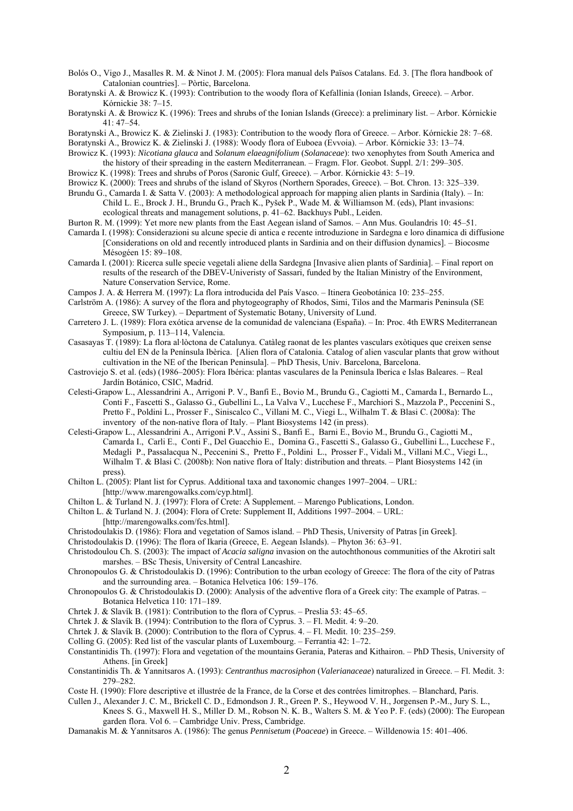Bolós O., Vigo J., Masalles R. M. & Ninot J. M. (2005): Flora manual dels Països Catalans. Ed. 3. [The flora handbook of Catalonian countries]. – Pòrtic, Barcelona.

Boratynski A. & Browicz K. (1996): Trees and shrubs of the Ionian Islands (Greece): a preliminary list. – Arbor. Kórnickie 41: 47–54.

- Boratynski A., Browicz K. & Zielinski J. (1983): Contribution to the woody flora of Greece. Arbor. Kórnickie 28: 7–68.
- Boratynski A., Browicz K. & Zielinski J. (1988): Woody flora of Euboea (Evvoia). Arbor. Kórnickie 33: 13–74.
- Browicz K. (1993): *Nicotiana glauca* and *Solanum elaeagnifolium* (*Solanaceae*): two xenophytes from South America and the history of their spreading in the eastern Mediterranean. – Fragm. Flor. Geobot. Suppl. 2/1: 299–305.
- Browicz K. (1998): Trees and shrubs of Poros (Saronic Gulf, Greece). Arbor. Kórnickie 43: 5–19.
- Browicz K. (2000): Trees and shrubs of the island of Skyros (Northern Sporades, Greece). Bot. Chron. 13: 325–339.
- Brundu G., Camarda I. & Satta V. (2003): A methodological approach for mapping alien plants in Sardinia (Italy). In: Child L. E., Brock J. H., Brundu G., Prach K., Pyšek P., Wade M. & Williamson M. (eds), Plant invasions: ecological threats and management solutions, p. 41–62. Backhuys Publ., Leiden.
- Burton R. M. (1999): Yet more new plants from the East Aegean island of Samos. Ann Mus. Goulandris 10: 45–51.
- Camarda I. (1998): Considerazioni su alcune specie di antica e recente introduzione in Sardegna e loro dinamica di diffusione [Considerations on old and recently introduced plants in Sardinia and on their diffusion dynamics]. – Biocosme Mésogéen 15: 89–108.
- Camarda I. (2001): Ricerca sulle specie vegetali aliene della Sardegna [Invasive alien plants of Sardinia]. Final report on results of the research of the DBEV-Univeristy of Sassari, funded by the Italian Ministry of the Environment, Nature Conservation Service, Rome.
- Campos J. A. & Herrera M. (1997): La flora introducida del País Vasco. Itinera Geobotánica 10: 235–255.
- Carlström A. (1986): A survey of the flora and phytogeography of Rhodos, Simi, Tilos and the Marmaris Peninsula (SE Greece, SW Turkey). – Department of Systematic Botany, University of Lund.
- Carretero J. L. (1989): Flora exótica arvense de la comunidad de valenciana (España). In: Proc. 4th EWRS Mediterranean Symposium, p. 113–114, Valencia.
- Casasayas T. (1989): La flora al·lòctona de Catalunya. Catàleg raonat de les plantes vasculars exòtiques que creixen sense cultiu del EN de la Península Ibèrica. [Alien flora of Catalonia. Catalog of alien vascular plants that grow without cultivation in the NE of the Iberican Peninsula]. – PhD Thesis, Univ. Barcelona, Barcelona.
- Castroviejo S. et al. (eds) (1986–2005): Flora Ibérica: plantas vasculares de la Peninsula Iberica e Islas Baleares. Real Jardín Botánico, CSIC, Madrid.
- Celesti-Grapow L., Alessandrini A., Arrigoni P. V., Banfi E., Bovio M., Brundu G., Cagiotti M., Camarda I., Bernardo L., Conti F., Fascetti S., Galasso G., Gubellini L., La Valva V., Lucchese F., Marchiori S., Mazzola P., Peccenini S., Pretto F., Poldini L., Prosser F., Siniscalco C., Villani M. C., Viegi L., Wilhalm T. & Blasi C. (2008a): The inventory of the non-native flora of Italy. – Plant Biosystems 142 (in press).
- Celesti-Grapow L., Alessandrini A., Arrigoni P.V., Assini S., Banfi E., Barni E., Bovio M., Brundu G., Cagiotti M., Camarda I., Carli E., Conti F., Del Guacchio E., Domina G., Fascetti S., Galasso G., Gubellini L., Lucchese F., Medagli P., Passalacqua N., Peccenini S., Pretto F., Poldini L., Prosser F., Vidali M., Villani M.C., Viegi L., Wilhalm T. & Blasi C. (2008b): Non native flora of Italy: distribution and threats. – Plant Biosystems 142 (in press).
- Chilton L. (2005): Plant list for Cyprus. Additional taxa and taxonomic changes 1997–2004. URL: [http://www.marengowalks.com/cyp.html].
- Chilton L. & Turland N. J. (1997): Flora of Crete: A Supplement. Marengo Publications, London.
- Chilton L. & Turland N. J. (2004): Flora of Crete: Supplement II, Additions 1997–2004. URL: [http://marengowalks.com/fcs.html].
- Christodoulakis D. (1986): Flora and vegetation of Samos island. PhD Thesis, University of Patras [in Greek].
- Christodoulakis D. (1996): The flora of Ikaria (Greece, E. Aegean Islands). Phyton 36: 63–91.
- Christodoulou Ch. S. (2003): The impact of *Acacia saligna* invasion on the autochthonous communities of the Akrotiri salt marshes. – BSc Thesis, University of Central Lancashire.
- Chronopoulos G. & Christodoulakis D. (1996): Contribution to the urban ecology of Greece: The flora of the city of Patras and the surrounding area. – Botanica Helvetica 106: 159–176.
- Chronopoulos G. & Christodoulakis D. (2000): Analysis of the adventive flora of a Greek city: The example of Patras. Botanica Helvetica 110: 171–189.
- Chrtek J. & Slavík B. (1981): Contribution to the flora of Cyprus. Preslia 53: 45–65.
- Chrtek J. & Slavík B. (1994): Contribution to the flora of Cyprus. 3. Fl. Medit. 4: 9–20.
- Chrtek J. & Slavík B. (2000): Contribution to the flora of Cyprus. 4. Fl. Medit. 10: 235–259.
- Colling G. (2005): Red list of the vascular plants of Luxembourg. Ferrantia 42: 1–72.
- Constantinidis Th. (1997): Flora and vegetation of the mountains Gerania, Pateras and Kithairon. PhD Thesis, University of Athens. [in Greek]
- Constantinidis Th. & Yannitsaros A. (1993): *Centranthus macrosiphon* (*Valerianaceae*) naturalized in Greece. Fl. Medit. 3: 279–282.
- Coste H. (1990): Flore descriptive et illustrée de la France, de la Corse et des contrées limitrophes. Blanchard, Paris.
- Cullen J., Alexander J. C. M., Brickell C. D., Edmondson J. R., Green P. S., Heywood V. H., Jorgensen P.-M., Jury S. L., Knees S. G., Maxwell H. S., Miller D. M., Robson N. K. B., Walters S. M. & Yeo P. F. (eds) (2000): The European garden flora. Vol 6. – Cambridge Univ. Press, Cambridge.
- Damanakis M. & Yannitsaros A. (1986): The genus *Pennisetum* (*Poaceae*) in Greece. Willdenowia 15: 401–406.

Boratynski A. & Browicz K. (1993): Contribution to the woody flora of Kefallinia (Ionian Islands, Greece). – Arbor. Kórnickie 38: 7–15.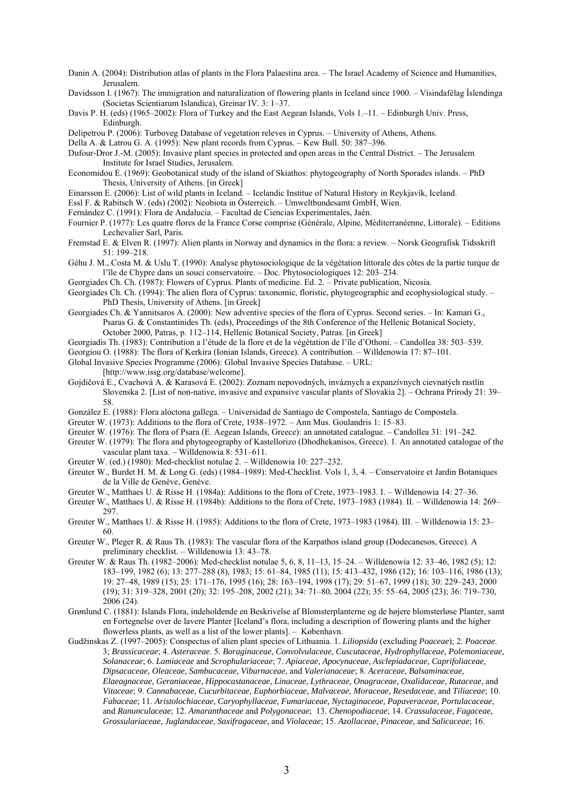- Danin A. (2004): Distribution atlas of plants in the Flora Palaestina area. The Israel Academy of Science and Humanities, Jerusalem.
- Davidsson I. (1967): The immigration and naturalization of flowering plants in Iceland since 1900. Vísindafélag Íslendinga (Societas Scientiarum Islandica), Greinar IV. 3: 1–37.
- Davis P. H. (eds) (1965–2002): Flora of Turkey and the East Aegean Islands, Vols 1.–11. Edinburgh Univ. Press, Edinburgh.

Delipetrou P. (2006): Turboveg Database of vegetation releves in Cyprus. – University of Athens, Athens.

Della A. & Latrou G. A. (1995): New plant records from Cyprus. – Kew Bull. 50: 387–396.

Dufour-Dror J.-M. (2005): Invasive plant species in protected and open areas in the Central District. – The Jerusalem Institute for Israel Studies, Jerusalem.

- Economidou E. (1969): Geobotanical study of the island of Skiathos: phytogeography of North Sporades islands. PhD Thesis, University of Athens. [in Greek]
- Einarsson E. (2006): List of wild plants in Iceland. Icelandic Institue of Natural History in Reykjavík, Iceland.
- Essl F. & Rabitsch W. (eds) (2002): Neobiota in Österreich. Umweltbundesamt GmbH, Wien.
- Fernández C. (1991): Flora de Andalucia. Facultad de Ciencias Experimentales, Jaén.
- Fournier P. (1977): Les quatre flores de la France Corse comprise (Générale, Alpine, Méditerranéenne, Littorale). Editions Lechevalier Sarl, Paris.
- Fremstad E. & Elven R. (1997): Alien plants in Norway and dynamics in the flora: a review. Norsk Geografisk Tidsskrift 51: 199–218.
- Géhu J. M., Costa M. & Uslu T. (1990): Analyse phytosociologique de la végétation littorale des côtes de la partie turque de l'île de Chypre dans un souci conservatoire. – Doc. Phytosociologiques 12: 203–234.
- Georgiades Ch. Ch. (1987): Flowers of Cyprus. Plants of medicine. Ed. 2. Private publication, Nicosia.
- Georgiades Ch. Ch. (1994): The alien flora of Cyprus: taxonomic, floristic, phytogeographic and ecophysiological study. PhD Thesis, University of Athens. [in Greek]
- Georgiades Ch. & Yannitsaros A. (2000): New adventive species of the flora of Cyprus. Second series. In: Kamari G., Psaras G. & Constantinides Th. (eds), Proceedings of the 8th Conference of the Hellenic Botanical Society, October 2000, Patras, p. 112–114, Hellenic Botanical Society, Patras. [in Greek]
- Georgiadis Th. (1983): Contribution a l'étude de la flore et de la végétation de l'île d'Othoni. Candollea 38: 503–539.
- Georgiou O. (1988): The flora of Kerkira (Ionian Islands, Greece). A contribution. Willdenowia 17: 87–101.
- Global Invasive Species Programme (2006): Global Invasive Species Database. URL:

[http://www.issg.org/database/welcome].

- Gojdičová E., Cvachová A. & Karasová E. (2002): Zoznam nepovodných, inváznych a expanzívnych cievnatých rastlín Slovenska 2. [List of non-native, invasive and expansive vascular plants of Slovakia 2]. – Ochrana Prírody 21: 39– 58.
- González E. (1988): Flora alóctona gallega. Universidad de Santiago de Compostela, Santiago de Compostela.
- Greuter W. (1973): Additions to the flora of Crete, 1938–1972. Ann Mus. Goulandris 1: 15–83.
- Greuter W. (1976): The flora of Psara (E. Aegean Islands, Greece): an annotated catalogue. Candollea 31: 191–242.
- Greuter W. (1979): The flora and phytogeography of Kastellorizo (Dhodhekanisos, Greece). 1. An annotated catalogue of the vascular plant taxa. – Willdenowia 8: 531–611.
- Greuter W. (ed.) (1980): Med-checklist notulae 2. Willdenowia 10: 227–232.
- Greuter W., Burdet H. M. & Long G. (eds) (1984–1989): Med-Checklist. Vols 1, 3, 4. Conservatoire et Jardin Botaniques de la Ville de Genève, Genève.
- Greuter W., Matthaes U. & Risse H. (1984a): Additions to the flora of Crete, 1973–1983. I. Willdenowia 14: 27–36.
- Greuter W., Matthaes U. & Risse H. (1984b): Additions to the flora of Crete, 1973–1983 (1984). II. Willdenowia 14: 269– 297.
- Greuter W., Matthaes U. & Risse H. (1985): Additions to the flora of Crete, 1973–1983 (1984). III. Willdenowia 15: 23– 60.
- Greuter W., Pleger R. & Raus Th. (1983): The vascular flora of the Karpathos island group (Dodecanesos, Greece). A preliminary checklist. – Willdenowia 13: 43–78.
- Greuter W. & Raus Th. (1982–2006): Med-checklist notulae 5, 6, 8, 11–13, 15–24. Willdenowia 12: 33–46, 1982 (5); 12: 183–199, 1982 (6); 13: 277–288 (8), 1983; 15: 61–84, 1985 (11); 15: 413–432, 1986 (12); 16: 103–116, 1986 (13); 19: 27–48, 1989 (15); 25: 171–176, 1995 (16); 28: 163–194, 1998 (17); 29: 51–67, 1999 (18); 30: 229–243, 2000 (19); 31: 319–328, 2001 (20); 32: 195–208, 2002 (21); 34: 71–80, 2004 (22); 35: 55–64, 2005 (23); 36: 719–730, 2006 (24).
- Grønlund C. (1881): Islands Flora, indeholdende en Beskrivelse af Blomsterplanterne og de højere blomsterløse Planter, samt en Fortegnelse over de lavere Planter [Iceland's flora, including a description of flowering plants and the higher flowerless plants, as well as a list of the lower plants]. – København.
- Gudžinskas Z. (1997–2005): Conspectus of alien plant species of Lithuania. 1. *Liliopsida* (excluding *Poaceae*); 2. *Poaceae*. 3; *Brassicaceae*; 4. *Asteraceae*. 5. *Boraginaceae*, *Convolvulaceae*, *Cuscutaceae, Hydrophyllaceae, Polemoniaceae, Solanaceae*; 6. *Lamiaceae* and *Scrophulariaceae*; 7. *Apiaceae, Apocynaceae*, *Asclepiadaceae, Caprifoliaceae, Dipsacaceae, Oleaceae, Sambucaceae, Viburnaceae*, and *Valerianaceae*; 8. *Aceraceae, Balsaminaceae, Elaeagnaceae, Geraniaceae, Hippocastanaceae, Linaceae, Lythraceae, Onagraceae, Oxalidaceae, Rutaceae*, and *Vitaceae*; 9. *Cannabaceae, Cucurbitaceae, Euphorbiaceae, Malvaceae, Moraceae, Resedaceae*, and *Tiliaceae*; 10. *Fabaceae*; 11. *Aristolochiaceae, Caryophyllaceae, Fumariaceae, Nyctaginaceae, Papaveraceae, Portulacaceae*, and *Ranunculaceae*; 12. *Amaranthaceae* and *Polygonaceae*; 13. *Chenopodiaceae*; 14. *Crassulaceae, Fagaceae, Grossulariaceae, Juglandaceae, Saxifragaceae*, and *Violaceae*; 15. *Azollaceae, Pinaceae*, and *Salicaceae*; 16.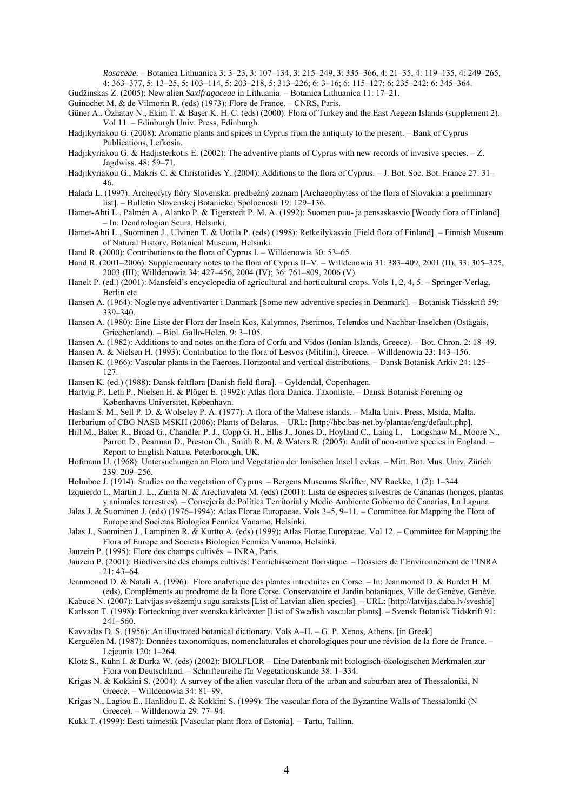*Rosaceae*. – Botanica Lithuanica 3: 3–23, 3: 107–134, 3: 215–249, 3: 335–366, 4: 21–35, 4: 119–135, 4: 249–265, 4: 363–377, 5: 13–25, 5: 103–114, 5: 203–218, 5: 313–226; 6: 3–16; 6: 115–127; 6: 235–242; 6: 345–364.

Gudžinskas Z. (2005): New alien *Saxifragaceae* in Lithuania. – Botanica Lithuanica 11: 17–21.

Guinochet M. & de Vilmorin R. (eds) (1973): Flore de France. – CNRS, Paris.

- Güner A., Özhatay N., Ekim T. & Başer K. H. C. (eds) (2000): Flora of Turkey and the East Aegean Islands (supplement 2). Vol 11. – Edinburgh Univ. Press, Edinburgh.
- Hadjikyriakou G. (2008): Aromatic plants and spices in Cyprus from the antiquity to the present. Bank of Cyprus Publications, Lefkosia.
- Hadjikyriakou G. & Hadjisterkotis E. (2002): The adventive plants of Cyprus with new records of invasive species. Z. Jagdwiss. 48: 59–71.
- Hadjikyriakou G., Makris C. & Christofides Y. (2004): Additions to the flora of Cyprus. J. Bot. Soc. Bot. France 27: 31– 46.
- Halada L. (1997): Archeofyty flóry Slovenska: predbežný zoznam [Archaeophytess of the flora of Slovakia: a preliminary list]. – Bulletin Slovenskej Botanickej Spolocnosti 19: 129–136.
- Hämet-Ahti L., Palmén A., Alanko P. & Tigerstedt P. M. A. (1992): Suomen puu- ja pensaskasvio [Woody flora of Finland]. – In: Dendrologian Seura, Helsinki.
- Hämet-Ahti L., Suominen J., Ulvinen T. & Uotila P. (eds) (1998): Retkeilykasvio [Field flora of Finland]. Finnish Museum of Natural History, Botanical Museum, Helsinki.
- Hand R. (2000): Contributions to the flora of Cyprus I. Willdenowia 30: 53–65.
- Hand R. (2001–2006): Supplementary notes to the flora of Cyprus II–V. Willdenowia 31: 383–409, 2001 (II); 33: 305–325, 2003 (III); Willdenowia 34: 427–456, 2004 (IV); 36: 761–809, 2006 (V).
- Hanelt P. (ed.) (2001): Mansfeld's encyclopedia of agricultural and horticultural crops. Vols 1, 2, 4, 5. Springer-Verlag, Berlin etc.
- Hansen A. (1964): Nogle nye adventivarter i Danmark [Some new adventive species in Denmark]. Botanisk Tidsskrift 59: 339–340.
- Hansen A. (1980): Eine Liste der Flora der Inseln Kos, Kalymnos, Pserimos, Telendos und Nachbar-Inselchen (Ostägäis, Griechenland). – Biol. Gallo-Helen. 9: 3–105.
- Hansen A. (1982): Additions to and notes on the flora of Corfu and Vidos (Ionian Islands, Greece). Bot. Chron. 2: 18–49.
- Hansen A. & Nielsen H. (1993): Contribution to the flora of Lesvos (Mitilini), Greece. Willdenowia 23: 143–156.
- Hansen K. (1966): Vascular plants in the Faeroes. Horizontal and vertical distributions. Dansk Botanisk Arkiv 24: 125– 127.
- Hansen K. (ed.) (1988): Dansk feltflora [Danish field flora]. Gyldendal, Copenhagen.
- Hartvig P., Leth P., Nielsen H. & Plöger E. (1992): Atlas flora Danica. Taxonliste. Dansk Botanisk Forening og Københavns Universitet, København.
- Haslam S. M., Sell P. D. & Wolseley P. A. (1977): A flora of the Maltese islands. Malta Univ. Press, Msida, Malta.
- Herbarium of CBG NASB MSKH (2006): Plants of Belarus. URL: [http://hbc.bas-net.by/plantae/eng/default.php].
- Hill M., Baker R., Broad G., Chandler P. J., Copp G. H., Ellis J., Jones D., Hoyland C., Laing I., Longshaw M., Moore N., Parrott D., Pearman D., Preston Ch., Smith R. M. & Waters R. (2005): Audit of non-native species in England. – Report to English Nature, Peterborough, UK.
- Hofmann U. (1968): Untersuchungen an Flora und Vegetation der Ionischen Insel Levkas. Mitt. Bot. Mus. Univ. Zürich 239: 209–256.
- Holmboe J. (1914): Studies on the vegetation of Cyprus. Bergens Museums Skrifter, NY Raekke, 1 (2): 1–344.
- Izquierdo I., Martín J. L., Zurita N. & Arechavaleta M. (eds) (2001): Lista de especies silvestres de Canarias (hongos, plantas y animales terrestres). – Consejería de Política Territorial y Medio Ambiente Gobierno de Canarias, La Laguna.
- Jalas J. & Suominen J. (eds) (1976–1994): Atlas Florae Europaeae. Vols 3–5, 9–11. Committee for Mapping the Flora of Europe and Societas Biologica Fennica Vanamo, Helsinki.
- Jalas J., Suominen J., Lampinen R. & Kurtto A. (eds) (1999): Atlas Florae Europaeae. Vol 12. Committee for Mapping the Flora of Europe and Societas Biologica Fennica Vanamo, Helsinki.
- Jauzein P. (1995): Flore des champs cultivés. INRA, Paris.
- Jauzein P. (2001): Biodiversité des champs cultivés: l'enrichissement floristique. Dossiers de l'Environnement de l'INRA 21: 43–64.
- Jeanmonod D. & Natali A. (1996): Flore analytique des plantes introduites en Corse. In: Jeanmonod D. & Burdet H. M. (eds), Compléments au prodrome de la flore Corse. Conservatoire et Jardin botaniques, Ville de Genève, Genève.
- Kabuce N. (2007): Latvijas svešzemju sugu saraksts [List of Latvian alien species]. URL: [http://latvijas.daba.lv/sveshie] Karlsson T. (1998): Förteckning över svenska kärlväxter [List of Swedish vascular plants]. – Svensk Botanisk Tidskrift 91:
- 241–560.
- Kavvadas D. S. (1956): An illustrated botanical dictionary. Vols A–H. G. P. Xenos, Athens. [in Greek]
- Kerguélen M. (1987): Données taxonomiques, nomenclaturales et chorologiques pour une révision de la flore de France. Lejeunia 120: 1–264.
- Klotz S., Kühn I. & Durka W. (eds) (2002): BIOLFLOR Eine Datenbank mit biologisch-ökologischen Merkmalen zur Flora von Deutschland. – Schriftenreihe für Vegetationskunde 38: 1–334.
- Krigas N. & Kokkini S. (2004): A survey of the alien vascular flora of the urban and suburban area of Thessaloniki, N Greece. – Willdenowia 34: 81–99.
- Krigas N., Lagiou E., Hanlidou E. & Kokkini S. (1999): The vascular flora of the Byzantine Walls of Thessaloniki (N Greece). – Willdenowia 29: 77–94.
- Kukk T. (1999): Eesti taimestik [Vascular plant flora of Estonia]. Tartu, Tallinn.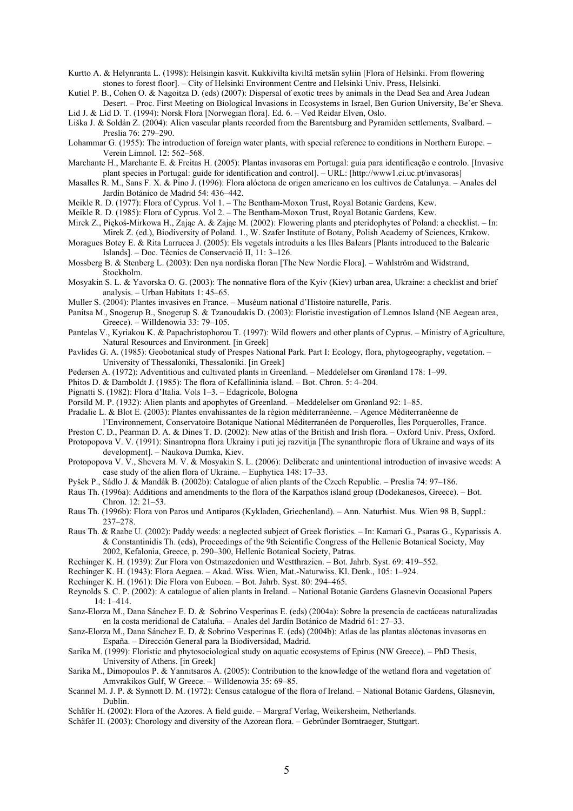Kurtto A. & Helynranta L. (1998): Helsingin kasvit. Kukkivilta kiviltä metsän syliin [Flora of Helsinki. From flowering stones to forest floor]. – City of Helsinki Environment Centre and Helsinki Univ. Press, Helsinki.

Kutiel P. B., Cohen O. & Nagoitza D. (eds) (2007): Dispersal of exotic trees by animals in the Dead Sea and Area Judean Desert. – Proc. First Meeting on Biological Invasions in Ecosystems in Israel, Ben Gurion University, Be'er Sheva. Lid J. & Lid D. T. (1994): Norsk Flora [Norwegian flora]. Ed. 6. – Ved Reidar Elven, Oslo.

Liška J. & Soldán Z. (2004): Alien vascular plants recorded from the Barentsburg and Pyramiden settlements, Svalbard. – Preslia 76: 279–290.

Lohammar G. (1955): The introduction of foreign water plants, with special reference to conditions in Northern Europe. – Verein Limnol. 12: 562–568.

Marchante H., Marchante E. & Freitas H. (2005): Plantas invasoras em Portugal: guia para identificação e controlo. [Invasive plant species in Portugal: guide for identification and control]. – URL: [http://www1.ci.uc.pt/invasoras]

Masalles R. M., Sans F. X. & Pino J. (1996): Flora alóctona de origen americano en los cultivos de Catalunya. – Anales del Jardín Botánico de Madrid 54: 436–442.

Meikle R. D. (1977): Flora of Cyprus. Vol 1. – The Bentham-Moxon Trust, Royal Botanic Gardens, Kew.

Meikle R. D. (1985): Flora of Cyprus. Vol 2. – The Bentham-Moxon Trust, Royal Botanic Gardens, Kew.

Mirek Z., Piękoś-Mirkowa H., Zając A. & Zając M. (2002): Flowering plants and pteridophytes of Poland: a checklist. – In: Mirek Z. (ed.), Biodiversity of Poland. 1., W. Szafer Institute of Botany, Polish Academy of Sciences, Krakow.

Moragues Botey E. & Rita Larrucea J. (2005): Els vegetals introduits a les Illes Balears [Plants introduced to the Balearic Islands]. – Doc. Técnics de Conservació II, 11: 3–126.

Mossberg B. & Stenberg L. (2003): Den nya nordiska floran [The New Nordic Flora]. – Wahlström and Widstrand, Stockholm.

Mosyakin S. L. & Yavorska O. G. (2003): The nonnative flora of the Kyiv (Kiev) urban area, Ukraine: a checklist and brief analysis. – Urban Habitats 1: 45–65.

Muller S. (2004): Plantes invasives en France. – Muséum national d'Histoire naturelle, Paris.

Panitsa M., Snogerup B., Snogerup S. & Tzanoudakis D. (2003): Floristic investigation of Lemnos Island (NE Aegean area, Greece). – Willdenowia 33: 79–105.

Pantelas V., Kyriakou K. & Papachristophorou T. (1997): Wild flowers and other plants of Cyprus. – Ministry of Agriculture, Natural Resources and Environment. [in Greek]

Pavlides G. A. (1985): Geobotanical study of Prespes National Park. Part I: Ecology, flora, phytogeography, vegetation. – University of Thessaloniki, Thessaloniki. [in Greek]

Pedersen A. (1972): Adventitious and cultivated plants in Greenland. – Meddelelser om Grønland 178: 1–99.

Phitos D. & Damboldt J. (1985): The flora of Kefallininia island. – Bot. Chron. 5: 4–204.

Pignatti S. (1982): Flora d'Italia. Vols 1–3. – Edagricole, Bologna

Porsild M. P. (1932): Alien plants and apophytes of Greenland. – Meddelelser om Grønland 92: 1–85.

Pradalie L. & Blot E. (2003): Plantes envahissantes de la région méditerranéenne. – Agence Méditerranéenne de l'Environnement, Conservatoire Botanique National Méditerranéen de Porquerolles, Îles Porquerolles, France.

Preston C. D., Pearman D. A. & Dines T. D. (2002): New atlas of the British and Irish flora. – Oxford Univ. Press, Oxford.

Protopopova V. V. (1991): Sinantropna flora Ukrainy i puti jej razvitija [The synanthropic flora of Ukraine and ways of its development]. – Naukova Dumka, Kiev.

Protopopova V. V., Shevera M. V. & Mosyakin S. L. (2006): Deliberate and unintentional introduction of invasive weeds: A case study of the alien flora of Ukraine. – Euphytica 148: 17–33.

Pyšek P., Sádlo J. & Mandák B. (2002b): Catalogue of alien plants of the Czech Republic. – Preslia 74: 97–186.

Raus Th. (1996a): Additions and amendments to the flora of the Karpathos island group (Dodekanesos, Greece). – Bot. Chron. 12: 21–53.

- Raus Th. (1996b): Flora von Paros und Antiparos (Kykladen, Griechenland). Ann. Naturhist. Mus. Wien 98 B, Suppl.: 237–278.
- Raus Th. & Raabe U. (2002): Paddy weeds: a neglected subject of Greek floristics. In: Kamari G., Psaras G., Kyparissis A. & Constantinidis Th. (eds), Proceedings of the 9th Scientific Congress of the Hellenic Botanical Society, May 2002, Kefalonia, Greece, p. 290–300, Hellenic Botanical Society, Patras.
- Rechinger K. H. (1939): Zur Flora von Ostmazedonien und Westthrazien. Bot. Jahrb. Syst. 69: 419–552.

Rechinger K. H. (1943): Flora Aegaea. – Akad. Wiss. Wien, Mat.-Naturwiss. Kl. Denk., 105: 1–924.

Rechinger K. H. (1961): Die Flora von Euboea. – Bot. Jahrb. Syst. 80: 294–465.

Reynolds S. C. P. (2002): A catalogue of alien plants in Ireland. – National Botanic Gardens Glasnevin Occasional Papers  $14 \cdot 1 - 414$ 

Sanz-Elorza M., Dana Sánchez E. D. & Sobrino Vesperinas E. (eds) (2004a): Sobre la presencia de cactáceas naturalizadas en la costa meridional de Cataluña. – Anales del Jardín Botánico de Madrid 61: 27–33.

Sanz-Elorza M., Dana Sánchez E. D. & Sobrino Vesperinas E. (eds) (2004b): Atlas de las plantas alóctonas invasoras en España. – Dirección General para la Biodiversidad, Madrid.

Sarika M. (1999): Floristic and phytosociological study on aquatic ecosystems of Epirus (NW Greece). – PhD Thesis, University of Athens. [in Greek]

Sarika M., Dimopoulos P. & Yannitsaros A. (2005): Contribution to the knowledge of the wetland flora and vegetation of Amvrakikos Gulf, W Greece. – Willdenowia 35: 69–85.

Scannel M. J. P. & Synnott D. M. (1972): Census catalogue of the flora of Ireland. – National Botanic Gardens, Glasnevin, Dublin.

Schäfer H. (2002): Flora of the Azores. A field guide. – Margraf Verlag, Weikersheim, Netherlands.

Schäfer H. (2003): Chorology and diversity of the Azorean flora. – Gebründer Borntraeger, Stuttgart.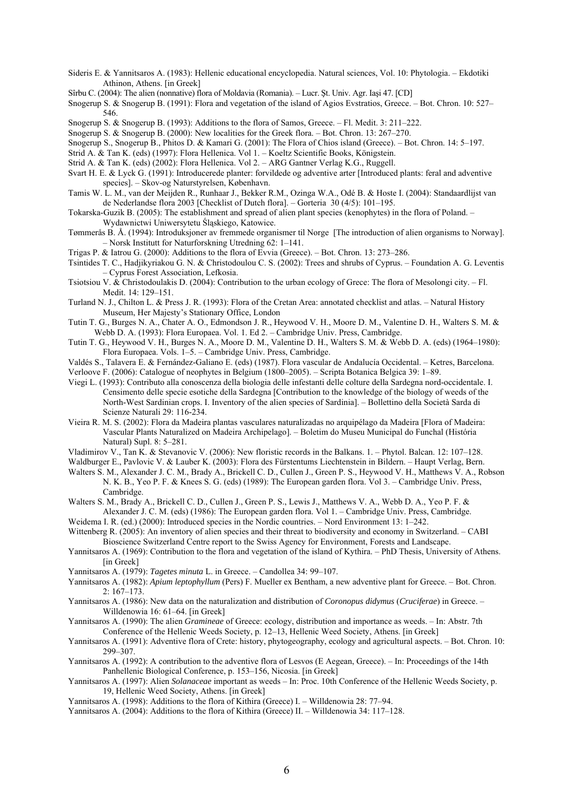- Sideris E. & Yannitsaros A. (1983): Hellenic educational encyclopedia. Natural sciences, Vol. 10: Phytologia. Ekdotiki Athinon, Athens. [in Greek]
- Sîrbu C. (2004): The alien (nonnative) flora of Moldavia (Romania). Lucr. Şt. Univ. Agr. Iaşi 47. [CD]
- Snogerup S. & Snogerup B. (1991): Flora and vegetation of the island of Agios Evstratios, Greece. Bot. Chron. 10: 527– 546.
- Snogerup S. & Snogerup B. (1993): Additions to the flora of Samos, Greece. Fl. Medit. 3: 211–222.
- Snogerup S. & Snogerup B. (2000): New localities for the Greek flora. Bot. Chron. 13: 267–270.
- Snogerup S., Snogerup B., Phitos D. & Kamari G. (2001): The Flora of Chios island (Greece). Bot. Chron. 14: 5–197.
- Strid A. & Tan K. (eds) (1997): Flora Hellenica. Vol 1. Koeltz Scientific Books, Königstein.
- Strid A. & Tan K. (eds) (2002): Flora Hellenica. Vol 2. ARG Gantner Verlag K.G., Ruggell.
- Svart H. E. & Lyck G. (1991): Introducerede planter: forvildede og adventive arter [Introduced plants: feral and adventive species]. – Skov-og Naturstyrelsen, København.
- Tamis W. L. M., van der Meijden R., Runhaar J., Bekker R.M., Ozinga W.A., Odé B. & Hoste I. (2004): Standaardlijst van de Nederlandse flora 2003 [Checklist of Dutch flora]. – Gorteria 30 (4/5): 101–195.
- Tokarska-Guzik B. (2005): The establishment and spread of alien plant species (kenophytes) in the flora of Poland. Wydawnictwi Uniwersytetu Śląskiego, Katowice.
- Tømmerås B. Å. (1994): Introduksjoner av fremmede organismer til Norge [The introduction of alien organisms to Norway]. – Norsk Institutt for Naturforskning Utredning 62: 1–141.
- Trigas P. & Iatrou G. (2000): Additions to the flora of Evvia (Greece). Bot. Chron. 13: 273–286.
- Tsintides T. C., Hadjikyriakou G. N. & Christodoulou C. S. (2002): Trees and shrubs of Cyprus. Foundation A. G. Leventis – Cyprus Forest Association, Lefkosia.
- Tsiotsiou V. & Christodoulakis D. (2004): Contribution to the urban ecology of Grece: The flora of Mesolongi city. Fl. Medit. 14: 129–151.
- Turland N. J., Chilton L. & Press J. R. (1993): Flora of the Cretan Area: annotated checklist and atlas. Natural History Museum, Her Majesty's Stationary Office, London
- Tutin T. G., Burges N. A., Chater A. O., Edmondson J. R., Heywood V. H., Moore D. M., Valentine D. H., Walters S. M. & Webb D. A. (1993): Flora Europaea. Vol. 1. Ed 2. – Cambridge Univ. Press, Cambridge.
- Tutin T. G., Heywood V. H., Burges N. A., Moore D. M., Valentine D. H., Walters S. M. & Webb D. A. (eds) (1964–1980): Flora Europaea. Vols. 1–5. – Cambridge Univ. Press, Cambridge.
- Valdés S., Talavera E. & Fernández-Galiano E. (eds) (1987). Flora vascular de Andalucía Occidental. Ketres, Barcelona. Verloove F. (2006): Catalogue of neophytes in Belgium (1800–2005). – Scripta Botanica Belgica 39: 1–89.
- Viegi L. (1993): Contributo alla conoscenza della biologia delle infestanti delle colture della Sardegna nord-occidentale. I. Censimento delle specie esotiche della Sardegna [Contribution to the knowledge of the biology of weeds of the North-West Sardinian crops. I. Inventory of the alien species of Sardinia]. – Bollettino della Società Sarda di Scienze Naturali 29: 116-234.
- Vieira R. M. S. (2002): Flora da Madeira plantas vasculares naturalizadas no arquipélago da Madeira [Flora of Madeira: Vascular Plants Naturalized on Madeira Archipelago]. – Boletim do Museu Municipal do Funchal (História Natural) Supl. 8: 5–281.
- Vladimirov V., Tan K. & Stevanovic V. (2006): New floristic records in the Balkans. 1. Phytol. Balcan. 12: 107–128.
- Waldburger E., Pavlovic V. & Lauber K. (2003): Flora des Fürstentums Liechtenstein in Bildern. Haupt Verlag, Bern.
- Walters S. M., Alexander J. C. M., Brady A., Brickell C. D., Cullen J., Green P. S., Heywood V. H., Matthews V. A., Robson N. K. B., Yeo P. F. & Knees S. G. (eds) (1989): The European garden flora. Vol 3. – Cambridge Univ. Press, Cambridge.
- Walters S. M., Brady A., Brickell C. D., Cullen J., Green P. S., Lewis J., Matthews V. A., Webb D. A., Yeo P. F. & Alexander J. C. M. (eds) (1986): The European garden flora. Vol 1. – Cambridge Univ. Press, Cambridge.

Weidema I. R. (ed.) (2000): Introduced species in the Nordic countries. – Nord Environment 13: 1–242.

- Wittenberg R. (2005): An inventory of alien species and their threat to biodiversity and economy in Switzerland. CABI Bioscience Switzerland Centre report to the Swiss Agency for Environment, Forests and Landscape.
- Yannitsaros A. (1969): Contribution to the flora and vegetation of the island of Kythira. PhD Thesis, University of Athens. [in Greek]
- Yannitsaros A. (1979): *Tagetes minuta* L. in Greece. Candollea 34: 99–107.
- Yannitsaros A. (1982): *Apium leptophyllum* (Pers) F. Mueller ex Bentham, a new adventive plant for Greece. Bot. Chron. 2: 167–173.
- Yannitsaros A. (1986): New data on the naturalization and distribution of *Coronopus didymus* (*Cruciferae*) in Greece. Willdenowia 16: 61–64. [in Greek]
- Yannitsaros A. (1990): The alien *Gramineae* of Greece: ecology, distribution and importance as weeds. In: Abstr. 7th Conference of the Hellenic Weeds Society, p. 12–13, Hellenic Weed Society, Athens. [in Greek]
- Yannitsaros A. (1991): Adventive flora of Crete: history, phytogeography, ecology and agricultural aspects. Bot. Chron. 10: 299–307.
- Yannitsaros A. (1992): A contribution to the adventive flora of Lesvos (E Aegean, Greece). In: Proceedings of the 14th Panhellenic Biological Conference, p. 153–156, Nicosia. [in Greek]
- Yannitsaros A. (1997): Alien *Solanaceae* important as weeds In: Proc. 10th Conference of the Hellenic Weeds Society, p. 19, Hellenic Weed Society, Athens. [in Greek]
- Yannitsaros A. (1998): Additions to the flora of Kithira (Greece) I. Willdenowia 28: 77–94.
- Yannitsaros A. (2004): Additions to the flora of Kithira (Greece) II. Willdenowia 34: 117–128.